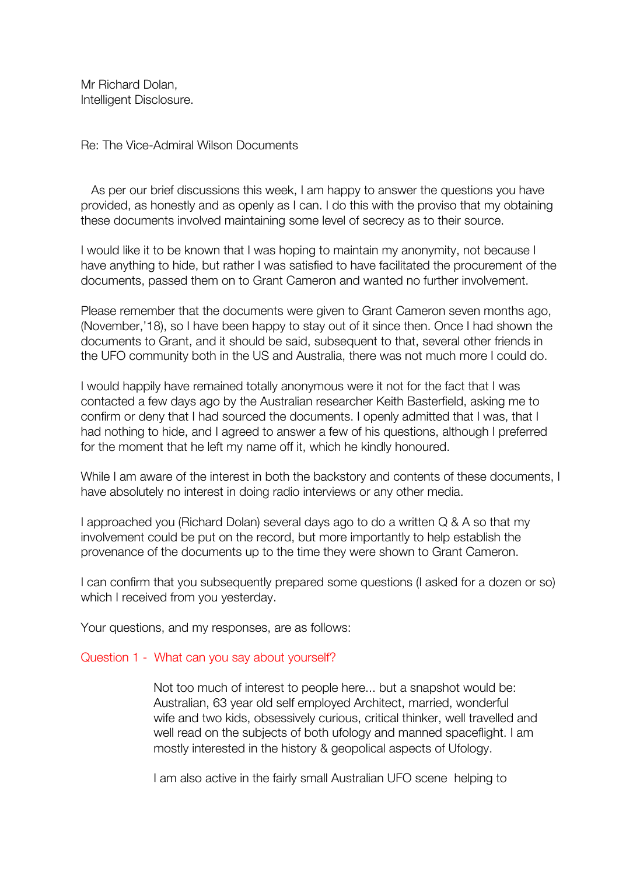Mr Richard Dolan, Intelligent Disclosure.

Re: The Vice-Admiral Wilson Documents

 As per our brief discussions this week, I am happy to answer the questions you have provided, as honestly and as openly as I can. I do this with the proviso that my obtaining these documents involved maintaining some level of secrecy as to their source.

I would like it to be known that I was hoping to maintain my anonymity, not because I have anything to hide, but rather I was satisfied to have facilitated the procurement of the documents, passed them on to Grant Cameron and wanted no further involvement.

Please remember that the documents were given to Grant Cameron seven months ago, (November,'18), so I have been happy to stay out of it since then. Once I had shown the documents to Grant, and it should be said, subsequent to that, several other friends in the UFO community both in the US and Australia, there was not much more I could do.

I would happily have remained totally anonymous were it not for the fact that I was contacted a few days ago by the Australian researcher Keith Basterfield, asking me to confirm or deny that I had sourced the documents. I openly admitted that I was, that I had nothing to hide, and I agreed to answer a few of his questions, although I preferred for the moment that he left my name off it, which he kindly honoured.

While I am aware of the interest in both the backstory and contents of these documents, I have absolutely no interest in doing radio interviews or any other media.

I approached you (Richard Dolan) several days ago to do a written Q & A so that my involvement could be put on the record, but more importantly to help establish the provenance of the documents up to the time they were shown to Grant Cameron.

I can confirm that you subsequently prepared some questions (I asked for a dozen or so) which I received from you yesterday.

Your questions, and my responses, are as follows:

#### Question 1 - What can you say about yourself?

 Not too much of interest to people here... but a snapshot would be: Australian, 63 year old self employed Architect, married, wonderful wife and two kids, obsessively curious, critical thinker, well travelled and well read on the subjects of both ufology and manned spaceflight. I am mostly interested in the history & geopolical aspects of Ufology.

I am also active in the fairly small Australian UFO scene helping to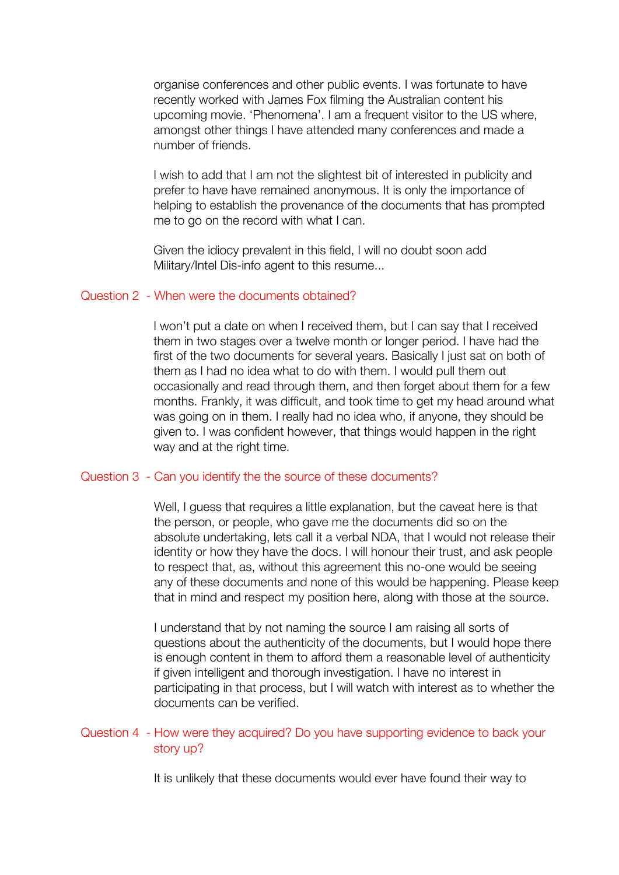organise conferences and other public events. I was fortunate to have recently worked with James Fox filming the Australian content his upcoming movie. 'Phenomena'. I am a frequent visitor to the US where, amongst other things I have attended many conferences and made a number of friends.

 I wish to add that I am not the slightest bit of interested in publicity and prefer to have have remained anonymous. It is only the importance of helping to establish the provenance of the documents that has prompted me to go on the record with what I can.

 Given the idiocy prevalent in this field, I will no doubt soon add Military/Intel Dis-info agent to this resume...

# Question 2 - When were the documents obtained?

 I won't put a date on when I received them, but I can say that I received them in two stages over a twelve month or longer period. I have had the first of the two documents for several years. Basically I just sat on both of them as I had no idea what to do with them. I would pull them out occasionally and read through them, and then forget about them for a few months. Frankly, it was difficult, and took time to get my head around what was going on in them. I really had no idea who, if anyone, they should be given to. I was confident however, that things would happen in the right way and at the right time.

# Question 3 - Can you identify the the source of these documents?

Well, I guess that requires a little explanation, but the caveat here is that the person, or people, who gave me the documents did so on the absolute undertaking, lets call it a verbal NDA, that I would not release their identity or how they have the docs. I will honour their trust, and ask people to respect that, as, without this agreement this no-one would be seeing any of these documents and none of this would be happening. Please keep that in mind and respect my position here, along with those at the source.

 I understand that by not naming the source I am raising all sorts of questions about the authenticity of the documents, but I would hope there is enough content in them to afford them a reasonable level of authenticity if given intelligent and thorough investigation. I have no interest in participating in that process, but I will watch with interest as to whether the documents can be verified.

# Question 4 - How were they acquired? Do you have supporting evidence to back your story up?

It is unlikely that these documents would ever have found their way to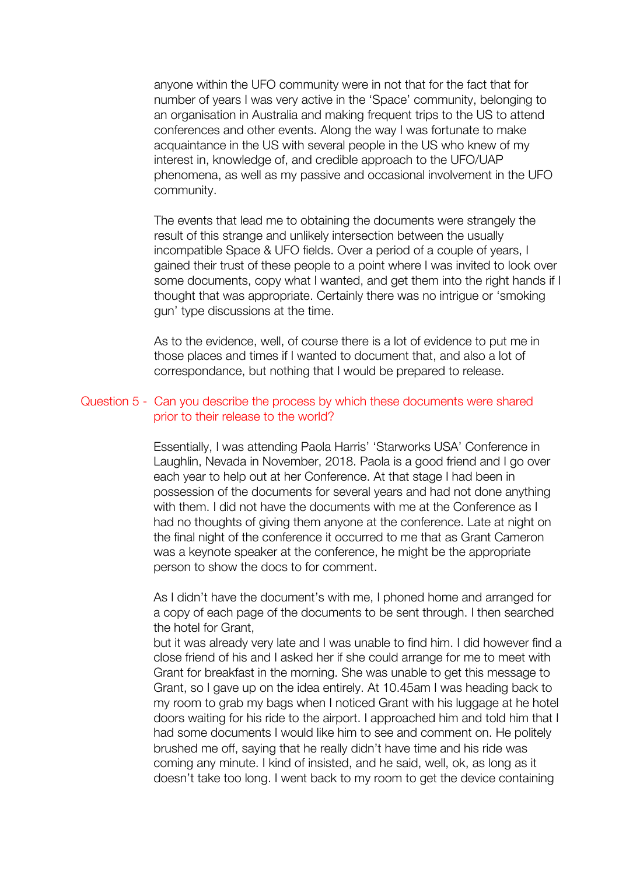anyone within the UFO community were in not that for the fact that for number of years I was very active in the 'Space' community, belonging to an organisation in Australia and making frequent trips to the US to attend conferences and other events. Along the way I was fortunate to make acquaintance in the US with several people in the US who knew of my interest in, knowledge of, and credible approach to the UFO/UAP phenomena, as well as my passive and occasional involvement in the UFO community.

 The events that lead me to obtaining the documents were strangely the result of this strange and unlikely intersection between the usually incompatible Space & UFO fields. Over a period of a couple of years, I gained their trust of these people to a point where I was invited to look over some documents, copy what I wanted, and get them into the right hands if I thought that was appropriate. Certainly there was no intrigue or 'smoking gun' type discussions at the time.

 As to the evidence, well, of course there is a lot of evidence to put me in those places and times if I wanted to document that, and also a lot of correspondance, but nothing that I would be prepared to release.

#### Question 5 - Can you describe the process by which these documents were shared prior to their release to the world?

 Essentially, I was attending Paola Harris' 'Starworks USA' Conference in Laughlin, Nevada in November, 2018. Paola is a good friend and I go over each year to help out at her Conference. At that stage I had been in possession of the documents for several years and had not done anything with them. I did not have the documents with me at the Conference as I had no thoughts of giving them anyone at the conference. Late at night on the final night of the conference it occurred to me that as Grant Cameron was a keynote speaker at the conference, he might be the appropriate person to show the docs to for comment.

 As I didn't have the document's with me, I phoned home and arranged for a copy of each page of the documents to be sent through. I then searched the hotel for Grant,

 but it was already very late and I was unable to find him. I did however find a close friend of his and I asked her if she could arrange for me to meet with Grant for breakfast in the morning. She was unable to get this message to Grant, so I gave up on the idea entirely. At 10.45am I was heading back to my room to grab my bags when I noticed Grant with his luggage at he hotel doors waiting for his ride to the airport. I approached him and told him that I had some documents I would like him to see and comment on. He politely brushed me off, saying that he really didn't have time and his ride was coming any minute. I kind of insisted, and he said, well, ok, as long as it doesn't take too long. I went back to my room to get the device containing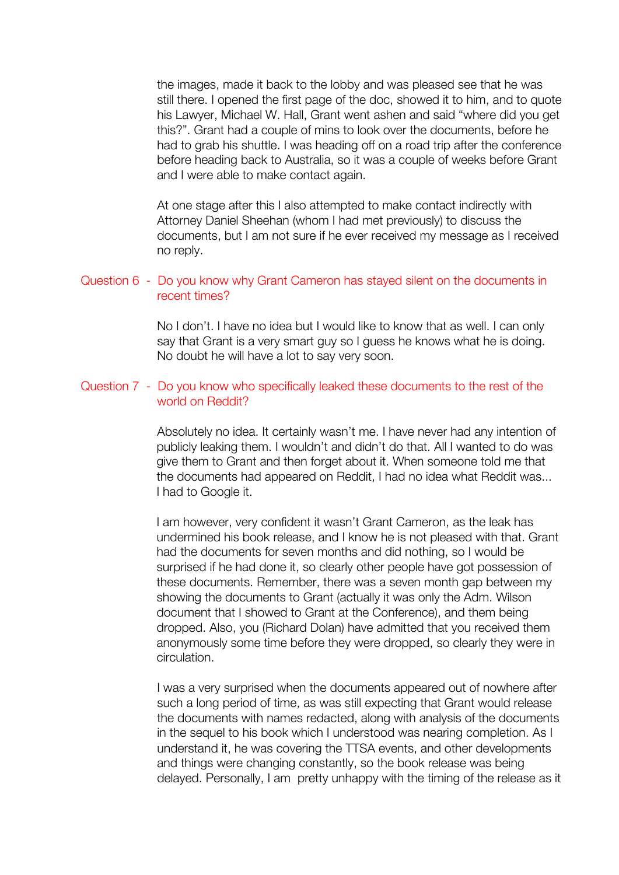the images, made it back to the lobby and was pleased see that he was still there. I opened the first page of the doc, showed it to him, and to quote his Lawyer, Michael W. Hall, Grant went ashen and said "where did you get this?". Grant had a couple of mins to look over the documents, before he had to grab his shuttle. I was heading off on a road trip after the conference before heading back to Australia, so it was a couple of weeks before Grant and I were able to make contact again.

 At one stage after this I also attempted to make contact indirectly with Attorney Daniel Sheehan (whom I had met previously) to discuss the documents, but I am not sure if he ever received my message as I received no reply.

# Question 6 - Do you know why Grant Cameron has stayed silent on the documents in recent times?

 No I don't. I have no idea but I would like to know that as well. I can only say that Grant is a very smart guy so I guess he knows what he is doing. No doubt he will have a lot to say very soon.

# Question 7 - Do you know who specifically leaked these documents to the rest of the world on Reddit?

 Absolutely no idea. It certainly wasn't me. I have never had any intention of publicly leaking them. I wouldn't and didn't do that. All I wanted to do was give them to Grant and then forget about it. When someone told me that the documents had appeared on Reddit, I had no idea what Reddit was... I had to Google it.

 I am however, very confident it wasn't Grant Cameron, as the leak has undermined his book release, and I know he is not pleased with that. Grant had the documents for seven months and did nothing, so I would be surprised if he had done it, so clearly other people have got possession of these documents. Remember, there was a seven month gap between my showing the documents to Grant (actually it was only the Adm. Wilson document that I showed to Grant at the Conference), and them being dropped. Also, you (Richard Dolan) have admitted that you received them anonymously some time before they were dropped, so clearly they were in circulation.

 I was a very surprised when the documents appeared out of nowhere after such a long period of time, as was still expecting that Grant would release the documents with names redacted, along with analysis of the documents in the sequel to his book which I understood was nearing completion. As I understand it, he was covering the TTSA events, and other developments and things were changing constantly, so the book release was being delayed. Personally, I am pretty unhappy with the timing of the release as it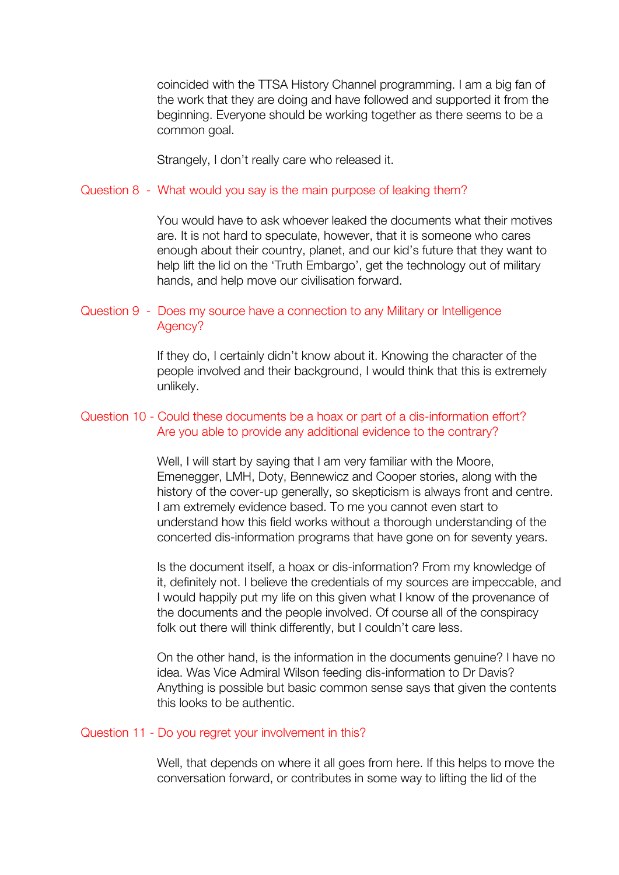coincided with the TTSA History Channel programming. I am a big fan of the work that they are doing and have followed and supported it from the beginning. Everyone should be working together as there seems to be a common goal.

Strangely, I don't really care who released it.

# Question 8 - What would you say is the main purpose of leaking them?

 You would have to ask whoever leaked the documents what their motives are. It is not hard to speculate, however, that it is someone who cares enough about their country, planet, and our kid's future that they want to help lift the lid on the 'Truth Embargo', get the technology out of military hands, and help move our civilisation forward.

# Question 9 - Does my source have a connection to any Military or Intelligence Agency?

 If they do, I certainly didn't know about it. Knowing the character of the people involved and their background, I would think that this is extremely unlikely.

# Question 10 - Could these documents be a hoax or part of a dis-information effort? Are you able to provide any additional evidence to the contrary?

 Well, I will start by saying that I am very familiar with the Moore, Emenegger, LMH, Doty, Bennewicz and Cooper stories, along with the history of the cover-up generally, so skepticism is always front and centre. I am extremely evidence based. To me you cannot even start to understand how this field works without a thorough understanding of the concerted dis-information programs that have gone on for seventy years.

 Is the document itself, a hoax or dis-information? From my knowledge of it, definitely not. I believe the credentials of my sources are impeccable, and I would happily put my life on this given what I know of the provenance of the documents and the people involved. Of course all of the conspiracy folk out there will think differently, but I couldn't care less.

 On the other hand, is the information in the documents genuine? I have no idea. Was Vice Admiral Wilson feeding dis-information to Dr Davis? Anything is possible but basic common sense says that given the contents this looks to be authentic.

# Question 11 - Do you regret your involvement in this?

 Well, that depends on where it all goes from here. If this helps to move the conversation forward, or contributes in some way to lifting the lid of the